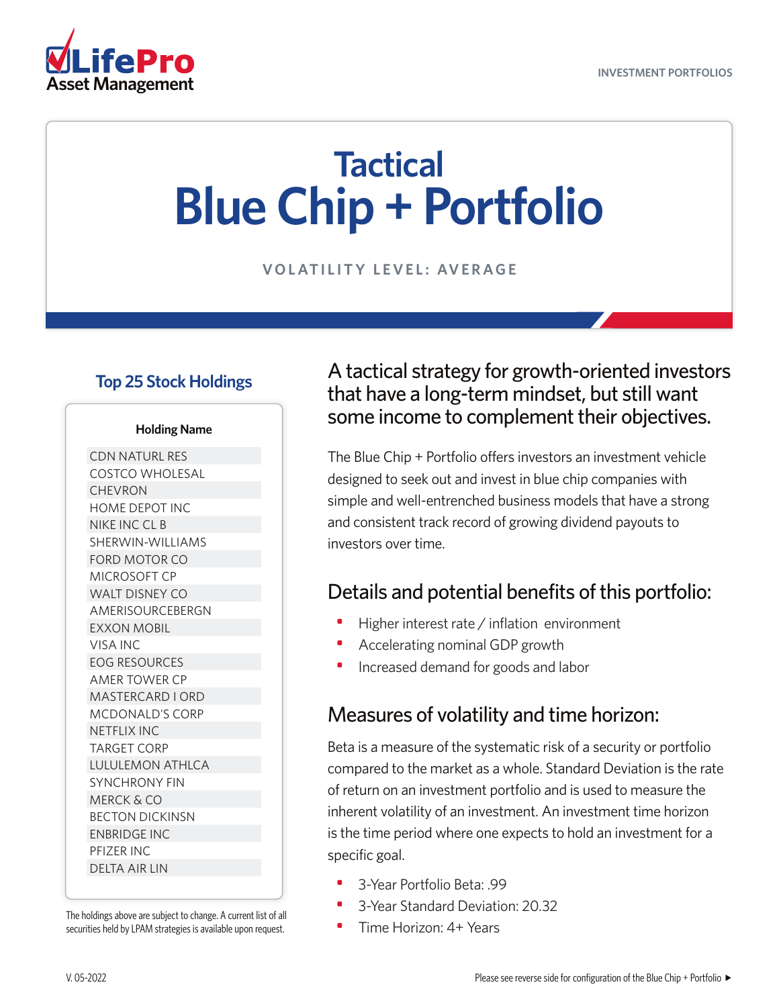

# **Tactical Blue Chip + Portfolio**

**VOLATILITY LEVEL: AVERAGE**

#### **Top 25 Stock Holdings**

#### **Holding Name**

CDN NATURL RES COSTCO WHOLESAL CHEVRON HOME DEPOT INC NIKE INC CL B SHERWIN-WILLIAMS FORD MOTOR CO MICROSOFT CP WALT DISNEY CO AMERISOURCEBERGN EXXON MOBIL VISA INC EOG RESOURCES AMER TOWER CP MASTERCARD I ORD MCDONALD'S CORP NETFLIX INC TARGET CORP LULULEMON ATHLCA SYNCHRONY FIN MERCK & CO BECTON DICKINSN ENBRIDGE INC PFIZER INC DELTA AIR LIN

The holdings above are subject to change. A current list of all securities held by LPAM strategies is available upon request.

#### A tactical strategy for growth-oriented investors that have a long-term mindset, but still want some income to complement their objectives.

The Blue Chip + Portfolio offers investors an investment vehicle designed to seek out and invest in blue chip companies with simple and well-entrenched business models that have a strong and consistent track record of growing dividend payouts to investors over time.

### Details and potential benefits of this portfolio:

- Higher interest rate / inflation environment
- Accelerating nominal GDP growth
- Increased demand for goods and labor

#### Measures of volatility and time horizon:

Beta is a measure of the systematic risk of a security or portfolio compared to the market as a whole. Standard Deviation is the rate of return on an investment portfolio and is used to measure the inherent volatility of an investment. An investment time horizon is the time period where one expects to hold an investment for a specific goal.

- 3-Year Portfolio Beta: .99
- 3-Year Standard Deviation: 20.32
- Time Horizon: 4+ Years